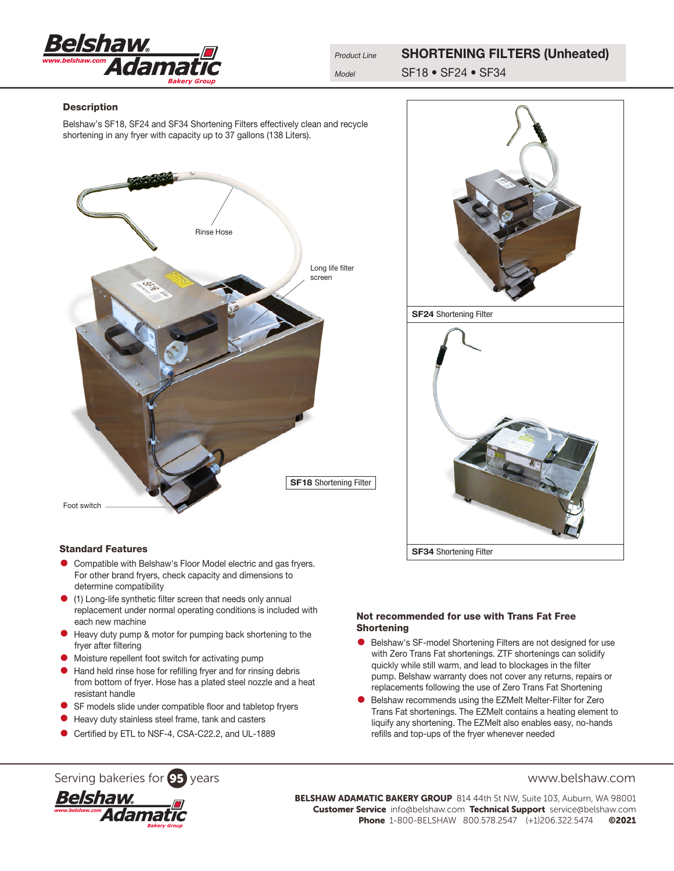

# **Description**

Belshaw's SF18, SF24 and SF34 Shortening Filters effectively clean and recycle shortening in any fryer with capacity up to 37 gallons (138 Liters).





### Standard Features

- **•** Compatible with Belshaw's Floor Model electric and gas fryers. For other brand fryers, check capacity and dimensions to determine compatibility
- (1) Long-life synthetic filter screen that needs only annual replacement under normal operating conditions is included with each new machine
- **•** Heavy duty pump & motor for pumping back shortening to the fryer after filtering
- Moisture repellent foot switch for activating pump
- Hand held rinse hose for refilling fryer and for rinsing debris from bottom of fryer. Hose has a plated steel nozzle and a heat resistant handle
- SF models slide under compatible floor and tabletop fryers
- Heavy duty stainless steel frame, tank and casters
- Certified by ETL to NSF-4, CSA-C22.2, and UL-1889

# Not recommended for use with Trans Fat Free Shortening

- Belshaw's SF-model Shortening Filters are not designed for use with Zero Trans Fat shortenings. ZTF shortenings can solidify quickly while still warm, and lead to blockages in the filter pump. Belshaw warranty does not cover any returns, repairs or replacements following the use of Zero Trans Fat Shortening
- Belshaw recommends using the [EZMelt Melter-Filter](http://www.belshaw-adamatic.com/products/doughnut-filters/donut-filters.html) for Zero Trans Fat shortenings. The EZMelt contains a heating element to liquify any shortening. The EZMelt also enables easy, no-hands refills and top-ups of the fryer whenever needed

# Serving bakeries for **95** years www.belshaw.com



BELSHAW ADAMATIC BAKERY GROUP 814 44th St NW, Suite 103, Auburn, WA 98001 Customer Service info@belshaw.com Technical Support service@belshaw.com Phone 1-800-BELSHAW 800.578.2547 (+1)206.322.5474 ©2021